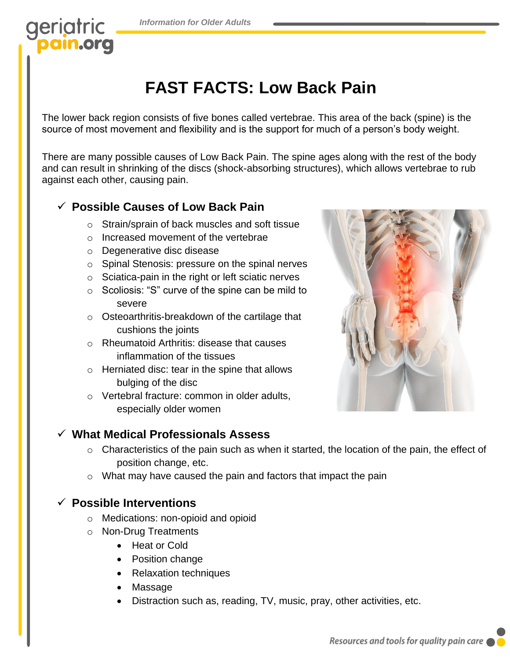*Information for Older Adults*

## geriatric ain.org

# **FAST FACTS: Low Back Pain**

The lower back region consists of five bones called vertebrae. This area of the back (spine) is the source of most movement and flexibility and is the support for much of a person's body weight.

There are many possible causes of Low Back Pain. The spine ages along with the rest of the body and can result in shrinking of the discs (shock-absorbing structures), which allows vertebrae to rub against each other, causing pain.

#### ✓ **Possible Causes of Low Back Pain**

- o Strain/sprain of back muscles and soft tissue
- o Increased movement of the vertebrae
- o Degenerative disc disease
- o Spinal Stenosis: pressure on the spinal nerves
- o Sciatica-pain in the right or left sciatic nerves
- o Scoliosis: "S" curve of the spine can be mild to severe
- o Osteoarthritis-breakdown of the cartilage that cushions the joints
- o Rheumatoid Arthritis: disease that causes inflammation of the tissues
- o Herniated disc: tear in the spine that allows bulging of the disc
- o Vertebral fracture: common in older adults, especially older women



#### ✓ **What Medical Professionals Assess**

- o Characteristics of the pain such as when it started, the location of the pain, the effect of position change, etc.
- o What may have caused the pain and factors that impact the pain

#### ✓ **Possible Interventions**

- o Medications: non-opioid and opioid
- o Non-Drug Treatments
	- Heat or Cold
	- Position change
	- Relaxation techniques
	- **Massage**
	- Distraction such as, reading, TV, music, pray, other activities, etc.